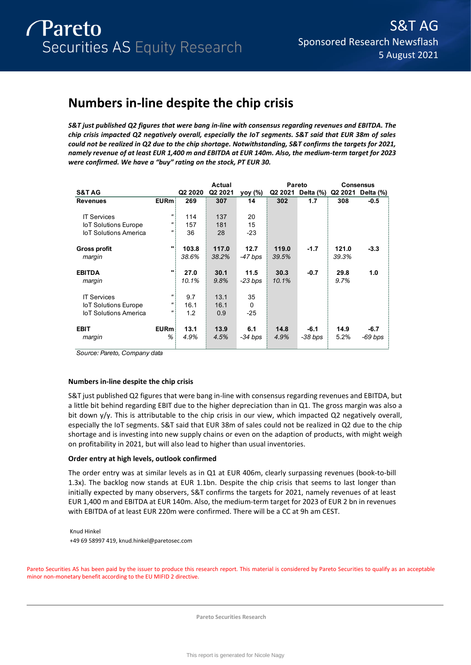# **Numbers in-line despite the chip crisis**

*S&T just published Q2 figures that were bang in-line with consensus regarding revenues and EBITDA. The chip crisis impacted Q2 negatively overall, especially the IoT segments. S&T said that EUR 38m of sales could not be realized in Q2 due to the chip shortage. Notwithstanding, S&T confirms the targets for 2021, namely revenue of at least EUR 1,400 m and EBITDA at EUR 140m. Also, the medium-term target for 2023 were confirmed. We have a "buy" rating on the stock, PT EUR 30.* 

|                              |                   |                     | Actual  |           |       | <b>Pareto</b>     |       | <b>Consensus</b>  |
|------------------------------|-------------------|---------------------|---------|-----------|-------|-------------------|-------|-------------------|
| <b>S&amp;T AG</b>            |                   | Q <sub>2</sub> 2020 | Q2 2021 | yoy (%)   |       | Q2 2021 Delta (%) |       | Q2 2021 Delta (%) |
| <b>Revenues</b>              | EURm              | 269                 | 307     | 14        | 302   | 1.7               | 308   | $-0.5$            |
|                              |                   |                     |         |           |       |                   |       |                   |
| <b>IT Services</b>           | "                 | 114                 | 137     | 20        |       |                   |       |                   |
| <b>IoT Solutions Europe</b>  | $^{\prime\prime}$ | 157                 | 181     | 15        |       |                   |       |                   |
| <b>IoT Solutions America</b> | $\mathbf{u}$      | 36                  | 28      | $-23$     |       |                   |       |                   |
|                              |                   |                     |         |           |       |                   |       |                   |
| <b>Gross profit</b>          | $\mathbf{u}$      | 103.8               | 117.0   | 12.7      | 119.0 | $-1.7$            | 121.0 | $-3.3$            |
| margin                       |                   | 38.6%               | 38.2%   | -47 bps   | 39.5% |                   | 39.3% |                   |
|                              |                   |                     |         |           |       |                   |       |                   |
| <b>EBITDA</b>                | $\mathbf{u}$      | 27.0                | 30.1    | 11.5      | 30.3  | $-0.7$            | 29.8  | 1.0               |
| margin                       |                   | 10.1%               | 9.8%    | $-23$ bps | 10.1% |                   | 9.7%  |                   |
|                              |                   |                     |         |           |       |                   |       |                   |
| <b>IT Services</b>           | $^{\prime\prime}$ | 9.7                 | 13.1    | 35        |       |                   |       |                   |
| <b>IoT Solutions Europe</b>  | "                 | 16.1                | 16.1    | $\Omega$  |       |                   |       |                   |
| <b>IoT Solutions America</b> | $^{\prime\prime}$ | 1.2                 | 0.9     | $-25$     |       |                   |       |                   |
|                              |                   |                     |         |           |       |                   |       |                   |
| <b>EBIT</b>                  | EURm              | 13.1                | 13.9    | 6.1       | 14.8  | $-6.1$            | 14.9  | $-6.7$            |
| margin                       | %                 | 4.9%                | 4.5%    | -34 bps   | 4.9%  | $-38$ bps         | 5.2%  | $-69$ bps         |
|                              |                   |                     |         |           |       |                   |       |                   |

*Source: Pareto, Company data*

# **Numbers in-line despite the chip crisis**

S&T just published Q2 figures that were bang in-line with consensus regarding revenues and EBITDA, but a little bit behind regarding EBIT due to the higher depreciation than in Q1. The gross margin was also a bit down y/y. This is attributable to the chip crisis in our view, which impacted Q2 negatively overall, especially the IoT segments. S&T said that EUR 38m of sales could not be realized in Q2 due to the chip shortage and is investing into new supply chains or even on the adaption of products, with might weigh on profitability in 2021, but will also lead to higher than usual inventories.

# **Order entry at high levels, outlook confirmed**

The order entry was at similar levels as in Q1 at EUR 406m, clearly surpassing revenues (book-to-bill 1.3x). The backlog now stands at EUR 1.1bn. Despite the chip crisis that seems to last longer than initially expected by many observers, S&T confirms the targets for 2021, namely revenues of at least EUR 1,400 m and EBITDA at EUR 140m. Also, the medium-term target for 2023 of EUR 2 bn in revenues with EBITDA of at least EUR 220m were confirmed. There will be a CC at 9h am CEST.

Knud Hinkel +49 69 58997 419, knud.hinkel@paretosec.com

Pareto Securities AS has been paid by the issuer to produce this research report. This material is considered by Pareto Securities to qualify as an acceptable minor non-monetary benefit according to the EU MIFID 2 directive.

**Pareto Securities Research**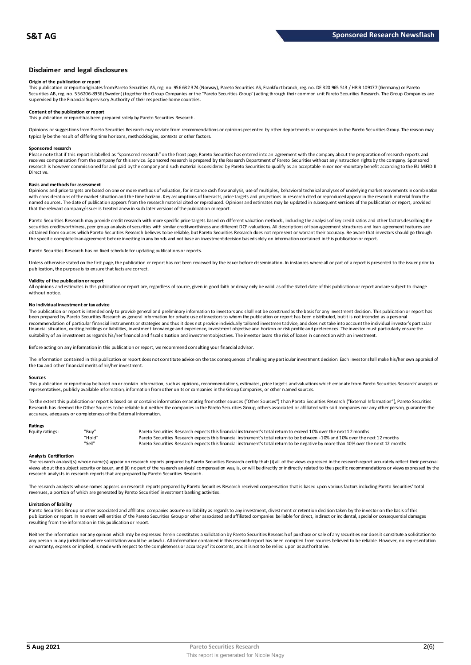### **Disclaimer and legal disclosures**

#### **Origin of the publication or report**

This publication or report originates from Pareto Securities AS, reg. no. 956 632 374 (Norway), Pareto Securities AS, Frankfu rt branch, reg. no. DE 320 965 513 / HR B 109177 (Germany) or Pareto Securities AB, reg. no. 556206-8956 (Sweden) (together the Group Companies or the "Pareto Securities Group") acting through their common unit Pareto Securities Research. The Group Companies are<br>supervised by the Financial

# **Content of the publication or report**

This publication or report has been prepared solely by Pareto Securities Research.

Opinions or suggestions from Pareto Securities Research may deviate from recommendations or opinions presented by other departments or companies in the Pareto Securities Group. The reason may typically be the result of differing time horizons, methodologies, contexts or other factors.

#### **Sponsored research**

Please note that if this report is labelled as "sponsored research" on the front page, Pareto Securities has entered into an agreement with the company about the preparation of research reports and<br>receives compensation fr research is however commissioned for and paid by the company and such material is considered by Pareto Securities to qualify as an acceptable minor non-monetary benefit according to the EU MiFID II Directive.

#### **Basis and methods for assessment**

Opinions and price targets are based on one or more methods of valuation, for instance cash flow analysis, use of multiples, behavioral technical analyses of underlying market movements in combination with considerations of the market situation and the time horizon. Key assumptions of forecasts, price targets and projections in research cited or reproduced appear in the research material from the named sources. The date of publication appears from the research material cited or reproduced. Opinions and estimates may be updated in subsequent versions of the publication or report, provided that the relevant company/issuer is treated anew in such later versions of the publication or report.

Pareto Securities Research may provide credit research with more specific price targets based on different valuation methods, including the analysis of key credit ratios and other factors describing the securities creditworthiness, peer group analysis of securities with similar creditworthiness and different DCF-valuations. All descriptions of loan agreement structures and loan agreement features are obtained from sources which Pareto Securities Research believes to be reliable, but Pareto Securities Research does not represent or warrant their accuracy. Be aware that investors should go through the specific complete loan agreement before investing in any bonds and not base an investment decision based solely on information contained in this publication or report.

Pareto Securities Research has no fixed schedule for updating publications or reports.

Unless otherwise stated on the first page, the publication or report has not been reviewed by the issuer before dissemination. In instances where all or part of a report is presented to the issuer prior to publication, the purpose is to ensure that facts are correct.

#### **Validity of the publication or report**

All opinions and estimates in this publication or report are, regardless of source, given in good faith and may only be valid as of the stated date of this publication or report and are subject to change without notice.

#### **No individual investment or tax advice**

The publication or report is intended only to provide general and preliminary information to investors and shall not be construed as the basis for any investment decision. This publication or report has<br>been prepared by Pa recommendation of particular financial instruments or strategies and thus it does not provide individually tailored investmen t advice, and does not take into account the individual investor's particular financial situation, existing holdings or liabilities, investment knowledge and experience, investment objective and horizon or risk profile and preferences. The investor must particularly ensure the suitability of an investment as regards his/her financial and fiscal situation and investment objectives. The investor bears the risk of losses in connection with an investment.

Before acting on any information in this publication or report, we recommend consulting your financial advisor.

The information contained in this publication or report does not constitute advice on the tax consequences of making any particular investment decision. Each investor shall make his/her own appraisal of the tax and other financial merits of his/her investment.

#### **Sources**

This publication or report may be based on or contain information, such as opinions, recommendations, estimates, price targets and valuations which emanate from Pareto Securities Research' analysts or representatives, publicly available information, information from other units or companies in the Group Companies, or other named sources.

To the extent this publication or report is based on or contains information emanating from other sources ("Other Sources") than Pareto Securities Research ("External Information"), Pareto Securities Research has deemed the Other Sources to be reliable but neither the companies in the Pareto Securities Group, others associated or affiliated with said companies nor any other person, guarantee the accuracy, adequacy or completeness of the External Information.

#### **Ratings**

| Equity ratings: | "Buy"  | Pareto Securities Research expects this financial instrument's total return to exceed 10% over the next 12 months                   |
|-----------------|--------|-------------------------------------------------------------------------------------------------------------------------------------|
|                 | "Hold" | Pareto Securities Research expects this financial instrument's total return to be between -10% and 10% over the next 12 months      |
|                 | "Sell" | Pareto Securities Research expects this financial instrument's total return to be negative by more than 10% over the next 12 months |

**Analysts Certification**<br>The research analystis) whose name(s) appear on research reports prepared by Pareto Securities Research certify that: (i) all of the views expressed in the research report accurately reflect their "Hold"<br>"Sell" Pareto Securities Research expects this financial instrument's total return to be between -10% and 10% over the next 12 months<br>"Sell" Pareto Securities Research expects this financial instrument's total retur research analysts in research reports that are prepared by Pareto Securities Research.

The research analysts whose names appears on research reports prepared by Pareto Securities Research received compensation that is based upon various factors including Pareto Securities' total revenues, a portion of which are generated by Pareto Securities' investment banking activities.

#### **Limitation of liability**

Pareto Securities Group or other associated and affiliated companies assume no liability as regards to any investment, divestment or retention decision taken by the investor on the basis of this publication or report. In no event will entities of the Pareto Securities Group or other associated and affiliated companies be liable for direct, indirect or incidental, special or consequential damages resulting from the information in this publication or report.

Neither the information nor any opinion which may be expressed herein constitutes a solicitation by Pareto Securities Research of purchase or sale of any securities nor does it constitute a solicitation to any person in any jurisdiction where solicitation would be unlawful. All information contained in this research report has been compiled from sources believed to be reliable. However, no representation or warranty, express or implied, is made with respect to the completeness or accuracy of its contents, and it is not to be relied upon as authoritative.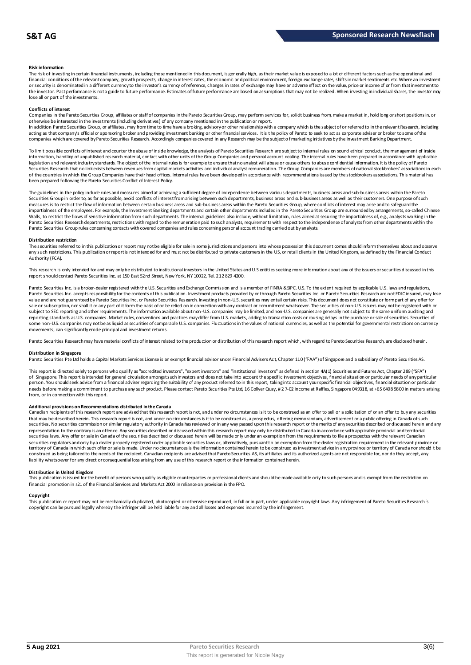#### **Risk information**

The risk of investing in certain financial instruments, including those mentioned in this document, is generally high, as their market value is exposed to a lot of different factors such as the operational and financial conditions of the relevant company, growth prospects, change in interest rates, the economic and political environment, foreign exchange rates, shifts in market sentiments etc. Where an investment or security is denominated in a different currency to the investor's currency of reference, changes in rates of exchange may have an adverse effect on the value, price or income of or from that investment to the investor. Past performance is not a guide to future performance. Estimates of future performance are based on assumptions that may not be realized. When investing in individual shares, the investor may lose all or part of the investments.

#### **Conflicts of interest**

Companies in the Pareto Securities Group, affiliates or staff of companies in the Pareto Securities Group, may perform services for, solicit business from, make a market in, hold long or short positions in, or otherwise be interested in the investments (including derivatives) of any company mentioned in the publication or report.<br>In addition Pareto Securities Group, or affiliates, may from time to time have a broking, advisory o

acting as that company's official or sponsoring broker and providing investment banking or other financial services. It is the policy of Pareto to seek to act as corporate adviser or broker to some of the companies which are covered by Pareto Securities Research. Accordingly companies covered in any Research may be the subject o f marketing initiatives by the Investment Banking Department.

To limit possible conflicts of interest and counter the abuse of inside knowledge, the analysts of Pareto Securities Research are subject to internal rules on sound ethical conduct, the management of inside information, handling of unpublished research material, contact with other units of the Group Companies and personal account dealing. The internal rules have been prepared in accordance with applicable legislation and relevant industry standards. The object of the internal rules is for example to ensure that no analyst will abuse or cause others to abuse confidential information. It is the policy of Pareto Securities Research that no link exists between revenues from capital markets activities and individual analyst remuneration. The Group Companies are members of national stockbrokers' associations in each of the countries in which the Group Companies have their head offices. Internal rules have been developed in accordance with recommendations issued by the stockbrokers associations. This material has been prepared following the Pareto Securities Conflict of Interest Policy.

The guidelines in the policy indude rules and measures aimed at achieving a sufficient degree of independence between various departments, business areas and sub-business areas within the Pareto Securities Group in order to, as far as possible, avoid conflicts of interest from arising between such departments, business areas and sub-business areas as well as their customers. One purpose of such measures is to restrict the flow of information between certain business areas and sub-business areas within the Pareto Securities Group, where conflicts of interest may arise and to safeguard the inpartialness of the empl The guidelines in the policy indude rules and measures aimed at achieving a sufficient degree of independence between various departments, business areas and sub-business areas within the Pareto<br>Securities Group in order t Pareto Securities Group rules concerning contacts with covered companies and rules concerning personal account trading carried out by analysts.

#### **Distribution restriction**

The securities referred to in this publication or report may not be eligible for sale in some jurisdictions and persons into whose possession this document comes should inform themselves about and observe Pareto Securities Group rules concerning contacts with covered companies and rules concerning personal account trading carried out by analysts.<br>Distribution restriction<br>The securities referred to in this publication or rep Authority (FCA).

This research is only intended for and may only be distributed to institutional investors in the United States and U.S entities seeking more information about any of the issuers or securities discussed in this report should contact Pareto Securities Inc. at 150 East 52nd Street, New York, NY 10022, Tel. 212 829 4200.

Pareto Securities Inc. is a broker-dealer registered with the U.S. Securities and Exchange Commission and is a member of FINRA & SPC. U.S. To the extent required by applicable U.S. laws and regulations, Pareto Securities Inc. accepts responsibility for the contents of this publication. Investment products provided by or through Pareto Securities Inc. or Pareto Securities Research are not FDIC insured, may lose<br>value and a sale or subscription, nor shall it or any part of it form the basis of or be relied on in connection with any contract or commitment whatsoever. The securities of non-U.S. issuers may not be registered with or subject to SEC reporting and other requirements. The information available about non-U.S. companies may be limited, and non-U.S. companies are generally not subject to the same unifom auditing and<br>reporting standards as U some non-U.S. companies may not be as liquid as securities of comparable U.S. companies. Fluctuations in the values of national currencies, as well as the potential for governmental restrictions on currency movements, can significantly erode principal and investment returns.

Pareto Securities Research may have material conflicts of interest related to the production or distribution of this research report which, with regard to Pareto Securities Research, are disclosed herein.

#### **Distribution in Singapore**

Pareto Securities Pte Ltd holds a Capital Markets Services License is an exempt financial advisor under Financial Advisers Ac t, Chapter 110 ("FAA") of Singapore and a subsidiary of Pareto Securities AS.

This report is directed solely to persons who qualify as "accredited investors", "expert investors" and "institutional investors" as defined in section 4A(1) Securities and Futures Act, Chapter 289 ("SFA") **Distribution in Singapore**<br>Pareto Securities Pte Ltd holds a Capital Markets Services License is an exempt financial advisor under Financial Advisers Act, Chapter 110 ("FAA") of Singapore and a subsidiary of Pareto Securi person. You should seek advice from a financial adviser regarding the suitability of any product referred to in this report, taking into account your specific financial objectives, financial situation or particular needs before making a commitment to purchase any such product. Please contact Pareto Securities Pte Ltd, 16 Collyer Quay, # 2 7-02 Income at Raffles, Singapore 049318, at +65 6408 9800 in matters arising<br>from, or in connec needs before making a commitment to purchase any such product. Please contact Pareto Securities Pte Ltd, 16 Collyer Quay, #2 7-02 Income at Raffles, Singapore 049318, at +65 6408 9800 in matters arisin<br>from, or in connecti

#### **Additional provisions on Recommendations distributed in the Canada**

That may be described herein. This research report are advised that this research report is not, and under no circumstances is it to be construed as an offer to sell or a solicitation of or an offer to buy any securities<br>t securities. No securities commission or similar regulatory authority in Canada has reviewed or in any way passed upon this research report or the merits of any securities described or discussed herein and any representation to the contrary is an offence. Any securities described or discussed within this research report may only be distributed in Canada in accordance with applicable provincial and territorial securities laws. Any offer or sale in Canada of the securities described or discussed herein will be made only under an exemption from the requirements to file a prospectus with the relevant Canadian securities regulators and only bya dealer properly registered under applicable securities laws or, alternatively, pursuant to an exemption from the dealer registration requirement in the relevant province or<br>territory of C construed as being tailored to the needs of the recipient. Canadian recipients are advised that Pareto Securities AS, its affiliates and its authorized agents are not responsible for, nor do they accept, any liability whatsoever for any direct or consequential loss arising from any use of this research report or the information contained herein.

#### **Distribution in United Kingdom**

This publication is issued for the benefit of persons who qualify as eligible counterparties or professional dients and should be made available only to such persons and is exempt from the restriction on financial promotion in s21 of the Financial Services and Markets Act 2000 in reliance on provision in the FPO.

#### **Copyright**

This publication or report may not be mechanically duplicated, photocopied or otherwise reproduced, in full or in part, under applicable copyright laws. Any infringement of Pareto Securities Research´s copyright can be pursued legally whereby the infringer will be held liable for any and all losses and expenses incurred by the infringement.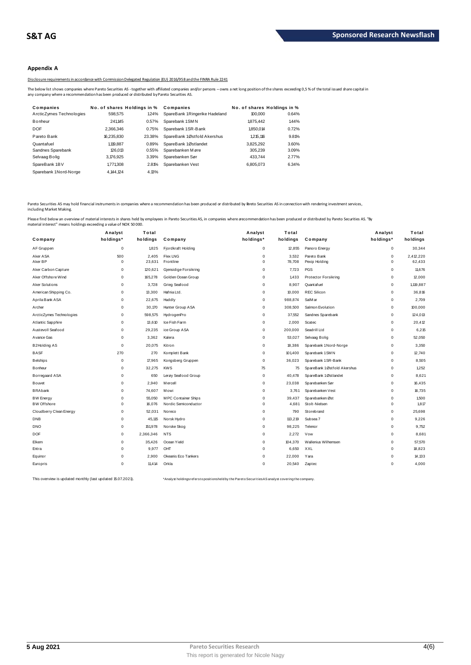# **Appendix A**

Disclosure requirements in accordance with Commission Delegated Regulation (EU) 2016/958 and the FINRA Rule 2241

|                                                                                              |                                       |        | Disclosure requirements in accordance with Commission Delegated Regulation (EU) 2016/958 and the FINRA Rule 2241                                                                                           |                             |       |  |
|----------------------------------------------------------------------------------------------|---------------------------------------|--------|------------------------------------------------------------------------------------------------------------------------------------------------------------------------------------------------------------|-----------------------------|-------|--|
| any company where a recommendation has been produced or distributed by Pareto Securities AS. |                                       |        | The below list shows companies where Pareto Securities AS - together with affiliated companies and/or persons - owns a net long position of the shares exceeding 0,5% of the total issued share capital in |                             |       |  |
| Companies                                                                                    | No. of shares Holdings in % Companies |        |                                                                                                                                                                                                            | No. of shares Holdings in % |       |  |
| ArcticZymes Technologies                                                                     | 598,575                               | 1.24%  | SpareBank 1Ringerike Hadeland                                                                                                                                                                              | 100,000                     | 0.64% |  |
| Bonheur                                                                                      | 241.145                               | 0.57%  | Sparebank 1SMN                                                                                                                                                                                             | 1875.442                    | 1.44% |  |
| <b>DOF</b>                                                                                   | 2.366.346                             | 0.75%  | Sparebank 1SR-Bank                                                                                                                                                                                         | 1.850.014                   | 0.72% |  |
| Pareto Bank                                                                                  | 16.235.830                            | 23.38% | SpareBank 1Østfold Akershus                                                                                                                                                                                | 1.215.116                   | 9.81% |  |
| Quantafuel                                                                                   | 1.119.887                             | 0.89%  | SpareBank 1Østlandet                                                                                                                                                                                       | 3,825,292                   | 3.60% |  |
| Sandnes Sparebank                                                                            | 126.013                               | 0.55%  | Sparebanken Møre                                                                                                                                                                                           | 305.239                     | 3.09% |  |
| Selvaag Bolig                                                                                | 3,176,925                             | 3.39%  | Sparebanken Sør                                                                                                                                                                                            | 433.744                     | 2.77% |  |
| SpareBank 1BV                                                                                | 1,771,308                             | 2.81%  | Sparebanken Vest                                                                                                                                                                                           | 6.805.073                   | 6.34% |  |
| Sparebank 1Nord-Norge                                                                        | 4.144.124                             | 4.13%  |                                                                                                                                                                                                            |                             |       |  |

Pareto Securities AS may hold financial instruments in companies where a recommendation has been produced or distributed by Pareto Securities AS in connection with rendering investment services, including Market Making.

| Company                  | Analyst<br>holdings* | Total<br>holdings | Company               | Analyst<br>holdings* | Total<br>holdings | Company                     | Analyst<br>holdings* | Total<br>holdings |
|--------------------------|----------------------|-------------------|-----------------------|----------------------|-------------------|-----------------------------|----------------------|-------------------|
| AF Gruppen               | $\mathsf 0$          | 1,825             | Fjordkraft Holding    | 0                    | 12,855            | Panoro Energy               | $\mathsf 0$          | 30,344            |
| Aker ASA                 | 500                  | 2,405             | Flex LNG              | 0                    | 3,532             | Pareto Bank                 | $\mathsf 0$          | 2,412,220         |
| Aker BP                  | 0                    | 23,631            | Frontline             | $\Omega$             | 78,708            | Pexip Holding               | $\mathbf 0$          | 62,433            |
| Aker Carbon Capture      | 0                    | 120,621           | Gjensidige Forsikring | $\mathbf 0$          | 7,723             | PGS                         | $^{\circ}$           | 11,676            |
| Aker Offshore Wind       | 0                    | 165,278           | Golden Ocean Group    | $\mathbf 0$          | 1.433             | <b>Protector Forsikring</b> | $\mathbf 0$          | 12,000            |
| Aker Solutions           | 0                    | 3,728             | Grieg Seafood         | $\Omega$             | 8,907             | Quantafuel                  | $\mathsf 0$          | 1,119,887         |
| American Shipping Co.    | 0                    | 13.300            | Hafnia Ltd.           | $\Omega$             | 10,000            | <b>REC Silicon</b>          | $\mathbf 0$          | 36,816            |
| Aprila Bank ASA          | 0                    | 22,675            | Huddly                | $\Omega$             | 988,874           | SalM ar                     | $\mathbf 0$          | 2,709             |
| Archer                   | 0                    | 30,170            | Hunter Group ASA      | 0                    | 308,500           | Salmon Evolution            | $\mathbf 0$          | 100,000           |
| ArcticZymes Technologies | 0                    | 598,575           | HydrogenPro           | $\Omega$             | 37,552            | Sandnes Sparebank           | $\mathbf 0$          | 124,013           |
| Atlantic Sapphire        | 0                    | 13,610            | Ice Fish Farm         | $\mathbf 0$          | 2,000             | Scatec                      | $\mathbf 0$          | 20,412            |
| Austevoll Seafood        | 0                    | 29,235            | ice Group ASA         | $\Omega$             | 200,000           | Seadrill Ltd                | $\mathbf 0$          | 6,215             |
| A vance Gas              | 0                    | 3,362             | Kalera                | $\mathbf 0$          | 53,027            | Selvaag Bolig               | $^{\circ}$           | 52,050            |
| B2Holding AS             | $\mathsf 0$          | 20,075            | Kitron                | $\Omega$             | 18,386            | Sparebank 1 Nord-Norge      | $\mathbf 0$          | 3,350             |
| <b>BASF</b>              | 270                  | 270               | Komplett Bank         | $\mathbf 0$          | 101,400           | Sparebank 1 SM N            | $\mathbf 0$          | 12,740            |
| <b>Belships</b>          | 0                    | 17.965            | Kongsberg Gruppen     | $\Omega$             | 36,023            | Sparebank 1 SR-Bank         | $\mathbf 0$          | 8,505             |
| Bonheur                  | 0                    | 32,275            | <b>KWS</b>            | 75                   | 75                | SpareBank 1Østfold Akershus | 0                    | 1,252             |
| Borregaard ASA           | 0                    | 650               | Lerøy Seafood Group   | $\Omega$             | 40,478            | SpareBank 1Østlandet        | $\mathsf 0$          | 8,621             |
| Bouvet                   | 0                    | 2,940             | M ercell              | $\mathbf 0$          | 23,038            | Sparebanken Sør             | $\mathbf 0$          | 16,435            |
| <b>BRAbank</b>           | 0                    | 74,607            | Mowi                  | $\mathbf 0$          | 3.761             | Sparebanken Vest            | $^{\circ}$           | 16,735            |
| <b>BW Energy</b>         | 0                    | 55,050            | MPC Container Ships   | $\mathbf 0$          | 39,437            | Sparebanken Øst             | $^{\circ}$           | 1,500             |
| <b>BW Offshore</b>       | 0                    | 16,076            | Nordic Semiconductor  | $\mathbf 0$          | 4,681             | Stolt-Nielsen               | $\mathbf 0$          | 1.817             |
| Cloudberry Clean Energy  | 0                    | 52,031            | Noreco                | $\Omega$             | 790               | Storebrand                  | $\mathbf 0$          | 25,698            |
| <b>DNB</b>               | 0                    | 45,115            | Norsk Hydro           | $^{\circ}$           | 113,219           | Subsea 7                    | $\mathbf 0$          | 9,226             |
| <b>DNO</b>               | 0                    | 151,978           | Norske Skog           | $\Omega$             | 98,225            | Telenor                     | $\mathbf 0$          | 9,752             |
| <b>DOF</b>               | 0                    | 2,366,346         | <b>NTS</b>            | $\mathbf 0$          | 2,272             | Vow                         | $^{\circ}$           | 8,681             |
| Elkem                    | 0                    | 35,426            | Ocean Yield           | $^{\circ}$           | 104,370           | Wallenius Wilhemsen         | $\mathbf 0$          | 57,570            |
| Entra                    | 0                    | 9,977             | OHT                   | $\Omega$             | 6,650             | XXL                         | $\mathbf 0$          | 18,823            |
| Equinor                  | 0                    | 2,900             | Okeanis Eco Tankers   | $\Omega$             | 22,000            | Yara                        | $\mathbf 0$          | 14,133            |
| Europris                 | 0                    | 11.414            | Orkla                 | $\Omega$             | 20,540            | Zaptec                      | $\Omega$             | 4.000             |

This overview is updated monthly (last updated 15.07.2021). \*\*\* Analyst holdingsrefersto positions held by the Pareto Securities AS analyst covering the company.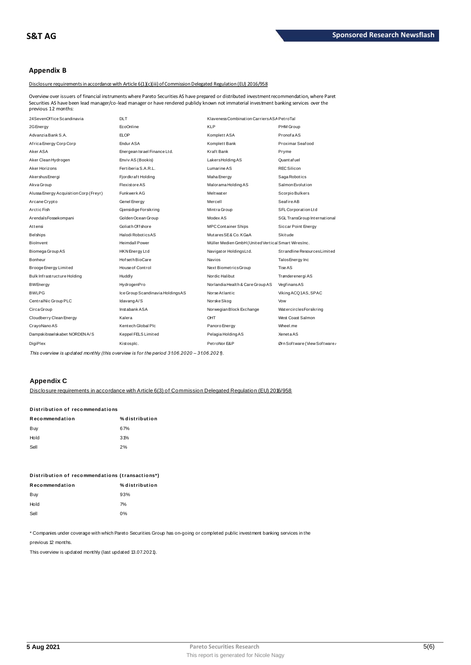# **Appendix B**

Disclosure requirements in accordance with Article 6(1)(c)(iii) of Commission Delegated Regulation (EU) 2016/958

Overview over issuers of financial instruments where Pareto Securities AS have prepared or distributed investment recommendation, where Paret Securities AS have been lead manager/co-lead manager or have rendered publidy known not immaterial investment recommendation, where Pa becurities AS have been lead manager/co-lead manager or have rendered publidy known not

| 24 Seven Office Scandinavia            | <b>DLT</b>                       | Klaveness Combination Carriers ASA PetroTal        |                               |
|----------------------------------------|----------------------------------|----------------------------------------------------|-------------------------------|
| 2G Energy                              | EcoOnline                        | <b>KLP</b>                                         | PHM Group                     |
| Advanzia Bank S.A.                     | <b>ELOP</b>                      | Komplett ASA                                       | PronofaAS                     |
| Africa Energy Corp Corp                | Endur ASA                        | Komplett Bank                                      | Proximar Seafood              |
| Aker ASA                               | Energean Israel Finance Ltd.     | Kraft Bank                                         | Pryme                         |
| Aker Clean Hydrogen                    | Enviv AS (Bookis)                | LakersHoldingAS                                    | Quantafuel                    |
| Aker Horizons                          | Fertiberia S.A.R.L.              | Lumarine AS                                        | <b>REC Silicon</b>            |
| Akershus Energi                        | Fjordkraft Holding               | Maha Energy                                        | Saga Robotics                 |
| Akva Group                             | <b>Flexistore AS</b>             | Malorama Holding AS                                | Salmon Evolution              |
| Alussa Energy Acquisition Corp (Freyr) | Funkwerk AG                      | Meltwater                                          | Scorpio Bulkers               |
| Arcane Crypto                          | Genel Energy                     | Mercell                                            | <b>Seafire AB</b>             |
| Arctic Fish                            | Gjensidige Forsikring            | Mintra Group                                       | SFL Corporation Ltd           |
| ArendalsFossekompani                   | Golden Ocean Group               | Modex AS                                           | SGL TransGroup International  |
| Attensi                                | Goliath Offshore                 | <b>MPC Container Ships</b>                         | Siccar Point Energy           |
| Belships                               | Halodi Robotics AS               | MutaresSE& Co. KGaA                                | Skitude                       |
| Biolnvent                              | <b>Heimdall Power</b>            | Müller Medien GmbH (United Vertica Smart WiresInc. |                               |
| Biomega Group AS                       | HKN Energy Ltd                   | Navigator HoldingsLtd.                             | Strandline Resources Limited  |
| Bonheur                                | Hof seth BioCare                 | <b>Navios</b>                                      | Talos Energy Inc              |
| Brooge Energy Limited                  | House of Control                 | Next BiometricsGroup                               | Tise AS                       |
| Bulk Infrastructure Holding            | Huddly                           | Nordic Halibut                                     | Trønderenergi AS              |
| <b>BWEnergy</b>                        | HydrogenPro                      | Norlandia Health & Care Group AS                   | VegfinansAS                   |
| <b>BWLPG</b>                           | Ice Group Scandinavia HoldingsAS | Norse Atlantic                                     | Viking ACQ1AS, SPAC           |
| CentralNic Group PLC                   | Idavang A/S                      | Norske Skog                                        | Vow                           |
| Circa Group                            | Inst abank ASA                   | Norwegian Block Exchange                           | WatercirclesForsikring        |
| Cloudberry Clean Energy                | Kalera                           | OHT                                                | West Coast Salmon             |
| CrayoNano AS                           | Kentech Global Plc               | Panoro Energy                                      | Wheel.me                      |
| Dampskibsselskabet NORDEN A/S          | Keppel FELS Limited              | Pelagia Holding AS                                 | XenetaAS                      |
| DigiPlex                               | Kistosplc.                       | PetroNor E&P                                       | Ørn Software (View Software / |

This overview is updated monthly (this overview is for the period 31.06.2020 - 31.06.2021).

# **Appendix C**

Disclosure requirements in accordance with Article 6(3) of Commission Delegated Regulation (EU) 2016/958

| Distribution of recommendations |                |  |  |  |  |  |
|---------------------------------|----------------|--|--|--|--|--|
| Recommendation                  | % distribution |  |  |  |  |  |
| Buy                             | 67%            |  |  |  |  |  |
| Hold                            | 31%            |  |  |  |  |  |
| Sell                            | 2%             |  |  |  |  |  |
|                                 |                |  |  |  |  |  |

| Distribution of recommendations (transactions*) |                |  |  |  |  |
|-------------------------------------------------|----------------|--|--|--|--|
| Recommendation                                  | % distribution |  |  |  |  |
| Buy                                             | 93%            |  |  |  |  |
| Hold                                            | 7%             |  |  |  |  |
| Sell                                            | በ%             |  |  |  |  |

\* Companies under coverage with which Pareto Securities Group has on-going or completed public investment banking services in the

previous 12 months.

This overview is updated monthly (last updated 13.07.2021).